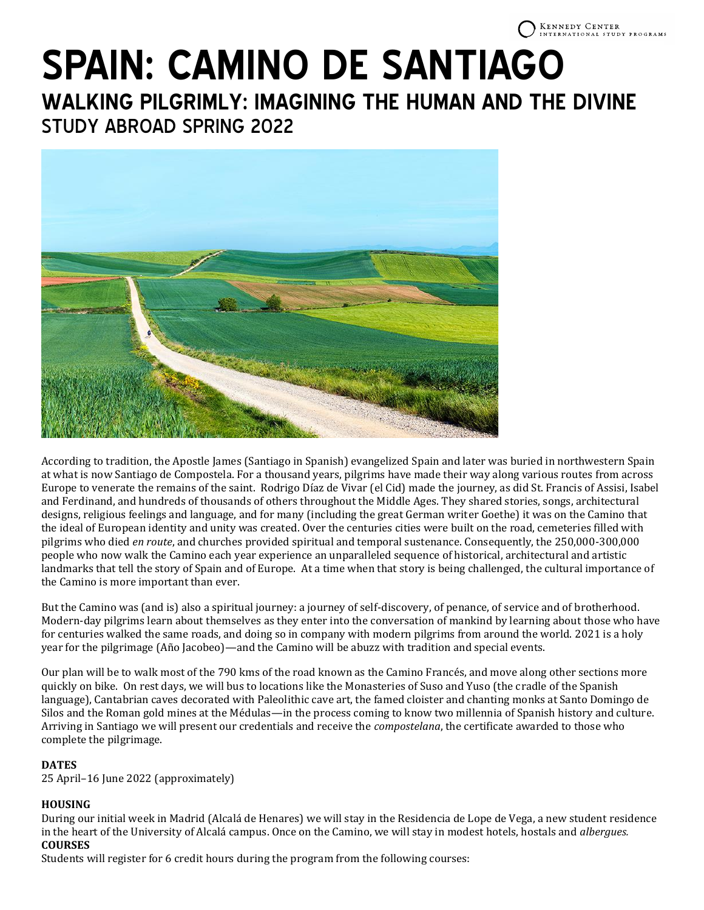# **SPAIN: CAMINO DE SANTIAGO**

**WALKING PILGRIMLY: IMAGINING THE HUMAN AND THE DIVINE**  STUDY ABROAD SPRING 2022



According to tradition, the Apostle James (Santiago in Spanish) evangelized Spain and later was buried in northwestern Spain at what is now Santiago de Compostela. For a thousand years, pilgrims have made their way along various routes from across Europe to venerate the remains of the saint. Rodrigo Díaz de Vivar (el Cid) made the journey, as did St. Francis of Assisi, Isabel and Ferdinand, and hundreds of thousands of others throughout the Middle Ages. They shared stories, songs, architectural designs, religious feelings and language, and for many (including the great German writer Goethe) it was on the Camino that the ideal of European identity and unity was created. Over the centuries cities were built on the road, cemeteries filled with pilgrims who died *en route*, and churches provided spiritual and temporal sustenance. Consequently, the 250,000-300,000 people who now walk the Camino each year experience an unparalleled sequence of historical, architectural and artistic landmarks that tell the story of Spain and of Europe. At a time when that story is being challenged, the cultural importance of the Camino is more important than ever.

But the Camino was (and is) also a spiritual journey: a journey of self-discovery, of penance, of service and of brotherhood. Modern-day pilgrims learn about themselves as they enter into the conversation of mankind by learning about those who have for centuries walked the same roads, and doing so in company with modern pilgrims from around the world. 2021 is a holy year for the pilgrimage (Año Jacobeo)—and the Camino will be abuzz with tradition and special events.

Our plan will be to walk most of the 790 kms of the road known as the Camino Francés, and move along other sections more quickly on bike. On rest days, we will bus to locations like the Monasteries of Suso and Yuso (the cradle of the Spanish language), Cantabrian caves decorated with Paleolithic cave art, the famed cloister and chanting monks at Santo Domingo de Silos and the Roman gold mines at the Médulas—in the process coming to know two millennia of Spanish history and culture. Arriving in Santiago we will present our credentials and receive the *compostelana*, the certificate awarded to those who complete the pilgrimage.

# **DATES**

25 April–16 June 2022 (approximately)

# **HOUSING**

During our initial week in Madrid (Alcalá de Henares) we will stay in the Residencia de Lope de Vega, a new student residence in the heart of the University of Alcalá campus. Once on the Camino, we will stay in modest hotels, hostals and *albergues.* **COURSES**

Students will register for 6 credit hours during the program from the following courses: